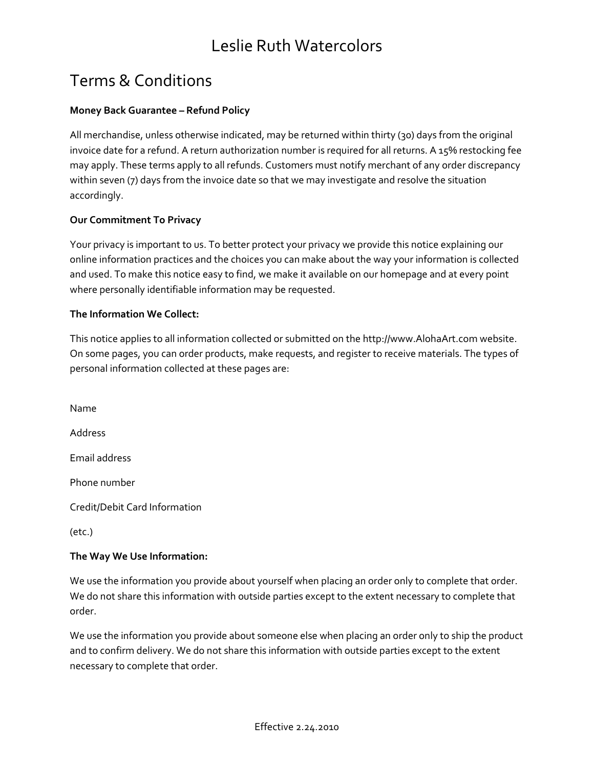# Terms & Conditions

### **Money Back Guarantee – Refund Policy**

All merchandise, unless otherwise indicated, may be returned within thirty (30) days from the original invoice date for a refund. A return authorization number is required for all returns. A 15% restocking fee may apply. These terms apply to all refunds. Customers must notify merchant of any order discrepancy within seven (7) days from the invoice date so that we may investigate and resolve the situation accordingly.

#### **Our Commitment To Privacy**

Your privacy is important to us. To better protect your privacy we provide this notice explaining our online information practices and the choices you can make about the way your information is collected and used. To make this notice easy to find, we make it available on our homepage and at every point where personally identifiable information may be requested.

#### **The Information We Collect:**

This notice applies to all information collected or submitted on the http://www.AlohaArt.com website. On some pages, you can order products, make requests, and register to receive materials. The types of personal information collected at these pages are:

Name Address Email address Phone number Credit/Debit Card Information

(etc.)

#### **The Way We Use Information:**

We use the information you provide about yourself when placing an order only to complete that order. We do not share this information with outside parties except to the extent necessary to complete that order.

We use the information you provide about someone else when placing an order only to ship the product and to confirm delivery. We do not share this information with outside parties except to the extent necessary to complete that order.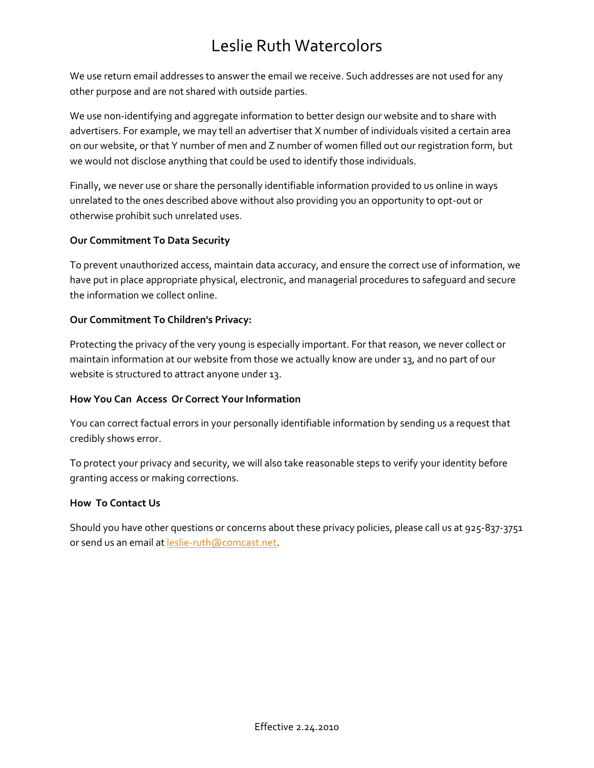We use return email addresses to answer the email we receive. Such addresses are not used for any other purpose and are not shared with outside parties.

We use non-identifying and aggregate information to better design our website and to share with advertisers. For example, we may tell an advertiser that X number of individuals visited a certain area on our website, or that Y number of men and Z number of women filled out our registration form, but we would not disclose anything that could be used to identify those individuals.

Finally, we never use or share the personally identifiable information provided to us online in ways unrelated to the ones described above without also providing you an opportunity to opt-out or otherwise prohibit such unrelated uses.

## **Our Commitment To Data Security**

To prevent unauthorized access, maintain data accuracy, and ensure the correct use of information, we have put in place appropriate physical, electronic, and managerial procedures to safeguard and secure the information we collect online.

### **Our Commitment To Children's Privacy:**

Protecting the privacy of the very young is especially important. For that reason, we never collect or maintain information at our website from those we actually know are under 13, and no part of our website is structured to attract anyone under 13.

## **How You Can Access Or Correct Your Information**

You can correct factual errors in your personally identifiable information by sending us a request that credibly shows error.

To protect your privacy and security, we will also take reasonable steps to verify your identity before granting access or making corrections.

#### **How To Contact Us**

Should you have other questions or concerns about these privacy policies, please call us at 925-837-3751 or send us an email at [leslie-ruth@comcast.net.](mailto:leslie-ruth@comcast.net)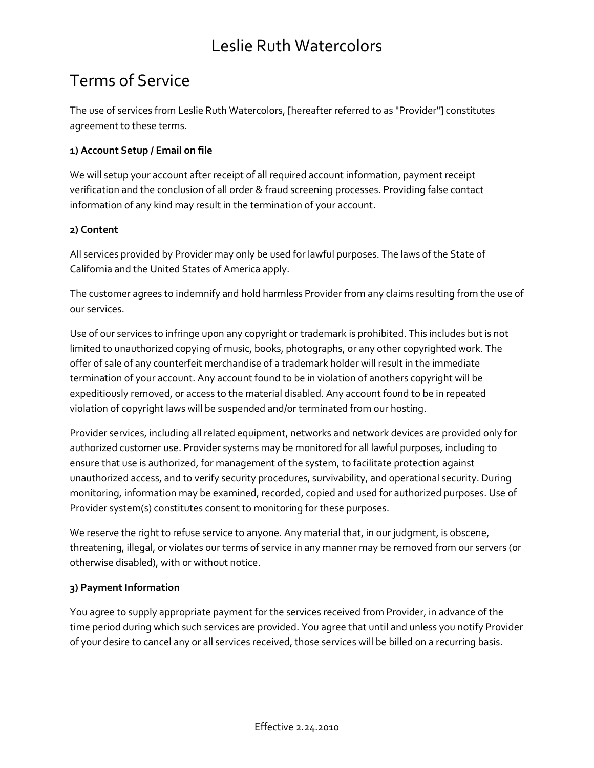# Terms of Service

The use of services from Leslie Ruth Watercolors, [hereafter referred to as "Provider"] constitutes agreement to these terms.

### **1) Account Setup / Email on file**

We will setup your account after receipt of all required account information, payment receipt verification and the conclusion of all order & fraud screening processes. Providing false contact information of any kind may result in the termination of your account.

### **2) Content**

All services provided by Provider may only be used for lawful purposes. The laws of the State of California and the United States of America apply.

The customer agrees to indemnify and hold harmless Provider from any claims resulting from the use of our services.

Use of our services to infringe upon any copyright or trademark is prohibited. This includes but is not limited to unauthorized copying of music, books, photographs, or any other copyrighted work. The offer of sale of any counterfeit merchandise of a trademark holder will result in the immediate termination of your account. Any account found to be in violation of anothers copyright will be expeditiously removed, or access to the material disabled. Any account found to be in repeated violation of copyright laws will be suspended and/or terminated from our hosting.

Provider services, including all related equipment, networks and network devices are provided only for authorized customer use. Provider systems may be monitored for all lawful purposes, including to ensure that use is authorized, for management of the system, to facilitate protection against unauthorized access, and to verify security procedures, survivability, and operational security. During monitoring, information may be examined, recorded, copied and used for authorized purposes. Use of Provider system(s) constitutes consent to monitoring for these purposes.

We reserve the right to refuse service to anyone. Any material that, in our judgment, is obscene, threatening, illegal, or violates our terms of service in any manner may be removed from our servers (or otherwise disabled), with or without notice.

#### **3) Payment Information**

You agree to supply appropriate payment for the services received from Provider, in advance of the time period during which such services are provided. You agree that until and unless you notify Provider of your desire to cancel any or all services received, those services will be billed on a recurring basis.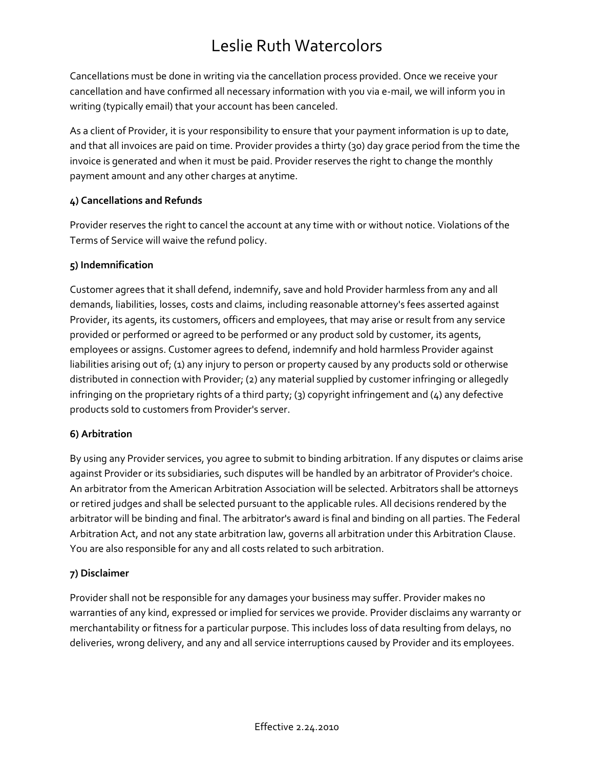Cancellations must be done in writing via the cancellation process provided. Once we receive your cancellation and have confirmed all necessary information with you via e-mail, we will inform you in writing (typically email) that your account has been canceled.

As a client of Provider, it is your responsibility to ensure that your payment information is up to date, and that all invoices are paid on time. Provider provides a thirty (30) day grace period from the time the invoice is generated and when it must be paid. Provider reserves the right to change the monthly payment amount and any other charges at anytime.

## **4) Cancellations and Refunds**

Provider reserves the right to cancel the account at any time with or without notice. Violations of the Terms of Service will waive the refund policy.

## **5) Indemnification**

Customer agrees that it shall defend, indemnify, save and hold Provider harmless from any and all demands, liabilities, losses, costs and claims, including reasonable attorney's fees asserted against Provider, its agents, its customers, officers and employees, that may arise or result from any service provided or performed or agreed to be performed or any product sold by customer, its agents, employees or assigns. Customer agrees to defend, indemnify and hold harmless Provider against liabilities arising out of; (1) any injury to person or property caused by any products sold or otherwise distributed in connection with Provider; (2) any material supplied by customer infringing or allegedly infringing on the proprietary rights of a third party; (3) copyright infringement and (4) any defective products sold to customers from Provider's server.

## **6) Arbitration**

By using any Provider services, you agree to submit to binding arbitration. If any disputes or claims arise against Provider or its subsidiaries, such disputes will be handled by an arbitrator of Provider's choice. An arbitrator from the American Arbitration Association will be selected. Arbitrators shall be attorneys or retired judges and shall be selected pursuant to the applicable rules. All decisions rendered by the arbitrator will be binding and final. The arbitrator's award is final and binding on all parties. The Federal Arbitration Act, and not any state arbitration law, governs all arbitration under this Arbitration Clause. You are also responsible for any and all costs related to such arbitration.

## **7) Disclaimer**

Provider shall not be responsible for any damages your business may suffer. Provider makes no warranties of any kind, expressed or implied for services we provide. Provider disclaims any warranty or merchantability or fitness for a particular purpose. This includes loss of data resulting from delays, no deliveries, wrong delivery, and any and all service interruptions caused by Provider and its employees.